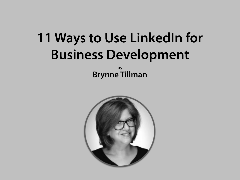# **11 Ways to Use LinkedIn for Business Development**

**by Brynne Tillman**

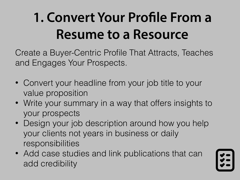### **1. Convert Your Profle From a Resume to a Resource**

Create a Buyer-Centric Profile That Attracts, Teaches and Engages Your Prospects.

- Convert your headline from your job title to your value proposition
- Write your summary in a way that offers insights to your prospects
- Design your job description around how you help your clients not years in business or daily responsibilities
- Add case studies and link publications that can add credibility

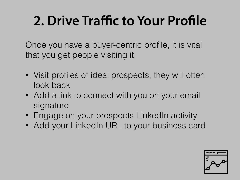### **2. Drive Traffic to Your Profle**

Once you have a buyer-centric profile, it is vital that you get people visiting it.

- Visit profiles of ideal prospects, they will often look back
- Add a link to connect with you on your email signature
- Engage on your prospects LinkedIn activity
- Add your LinkedIn URL to your business card

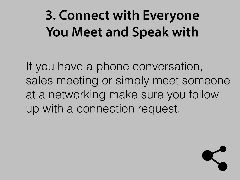#### **3. Connect with Everyone You Meet and Speak with**

If you have a phone conversation, sales meeting or simply meet someone at a networking make sure you follow up with a connection request.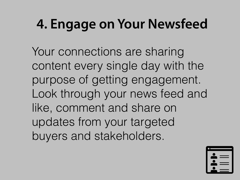### **4. Engage on Your Newsfeed**

Your connections are sharing content every single day with the purpose of getting engagement. Look through your news feed and like, comment and share on updates from your targeted buyers and stakeholders.

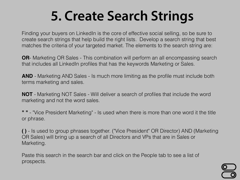#### **5. Create Search Strings**

Finding your buyers on LinkedIn is the core of effective social selling, so be sure to create search strings that help build the right lists. Develop a search string that best matches the criteria of your targeted market. The elements to the search string are:

**OR**- Marketing OR Sales - This combination will perform an all encompassing search that includes all LinkedIn profiles that has the keywords Marketing or Sales.

**AND** - Marketing AND Sales - Is much more limiting as the profile must include both terms marketing and sales.

**NOT** - Marketing NOT Sales - Will deliver a search of profiles that include the word marketing and not the word sales.

**" "** - "Vice President Marketing" - Is used when there is more than one word it the title or phrase.

**( )** - Is used to group phrases together. ("Vice President" OR Director) AND (Marketing OR Sales) will bring up a search of all Directors and VPs that are in Sales or Marketing.

Paste this search in the search bar and click on the People tab to see a list of prospects.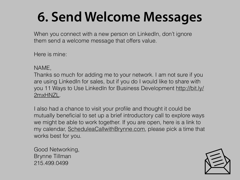#### **6. Send Welcome Messages**

When you connect with a new person on LinkedIn, don't ignore them send a welcome message that offers value.

Here is mine:

NAME,

Thanks so much for adding me to your network. I am not sure if you are using LinkedIn for sales, but if you do I would like to share with [you 11 Ways to Use LinkedIn for Business Development http://bit.ly/](http://bit.ly/2mxHNZL) 2mxHNZL.

I also had a chance to visit your profile and thought it could be mutually beneficial to set up a brief introductory call to explore ways we might be able to work together. If you are open, here is a link to my calendar, [ScheduleaCallwithBrynne.com](http://ScheduleaCallwithBrynne.com), please pick a time that works best for you.

Good Networking, Brynne Tillman 215.499.0499

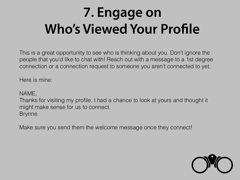#### **7. Engage on Who's Viewed Your Profle**

This is a great opportunity to see who is thinking about you. Don't ignore the people that you'd like to chat with! Reach out with a message to a 1st degree connection or a connection request to someone you aren't connected to yet.

Here is mine:

NAME,

Thanks for visiting my profile, I had a chance to look at yours and thought it might make sense for us to connect. Brynne

Make sure you send them the welcome message once they connect!

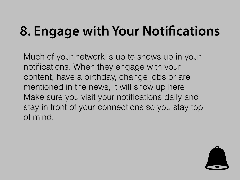## **8. Engage with Your Notifcations**

Much of your network is up to shows up in your notifications. When they engage with your content, have a birthday, change jobs or are mentioned in the news, it will show up here. Make sure you visit your notifications daily and stay in front of your connections so you stay top of mind.

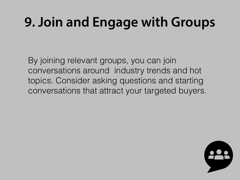### **9. Join and Engage with Groups**

By joining relevant groups, you can join conversations around industry trends and hot topics. Consider asking questions and starting conversations that attract your targeted buyers.

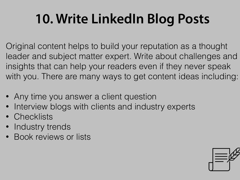### **10. Write LinkedIn Blog Posts**

Original content helps to build your reputation as a thought leader and subject matter expert. Write about challenges and insights that can help your readers even if they never speak with you. There are many ways to get content ideas including:

- Any time you answer a client question
- Interview blogs with clients and industry experts
- **Checklists**
- Industry trends
- Book reviews or lists

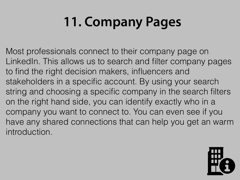# **11. Company Pages**

Most professionals connect to their company page on LinkedIn. This allows us to search and filter company pages to find the right decision makers, influencers and stakeholders in a specific account. By using your search string and choosing a specific company in the search filters on the right hand side, you can identify exactly who in a company you want to connect to. You can even see if you have any shared connections that can help you get an warm introduction.

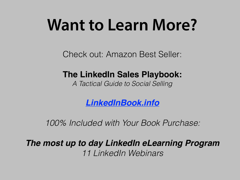# **Want to Learn More?**

Check out: Amazon Best Seller:

#### **The LinkedIn Sales Playbook:**

*A Tactical Guide to Social Selling* 

*[LinkedInBook.info](http://www.linkedinbook.info)*

*100% Included with Your Book Purchase:* 

*The most up to day LinkedIn eLearning Program 11 LinkedIn Webinars*